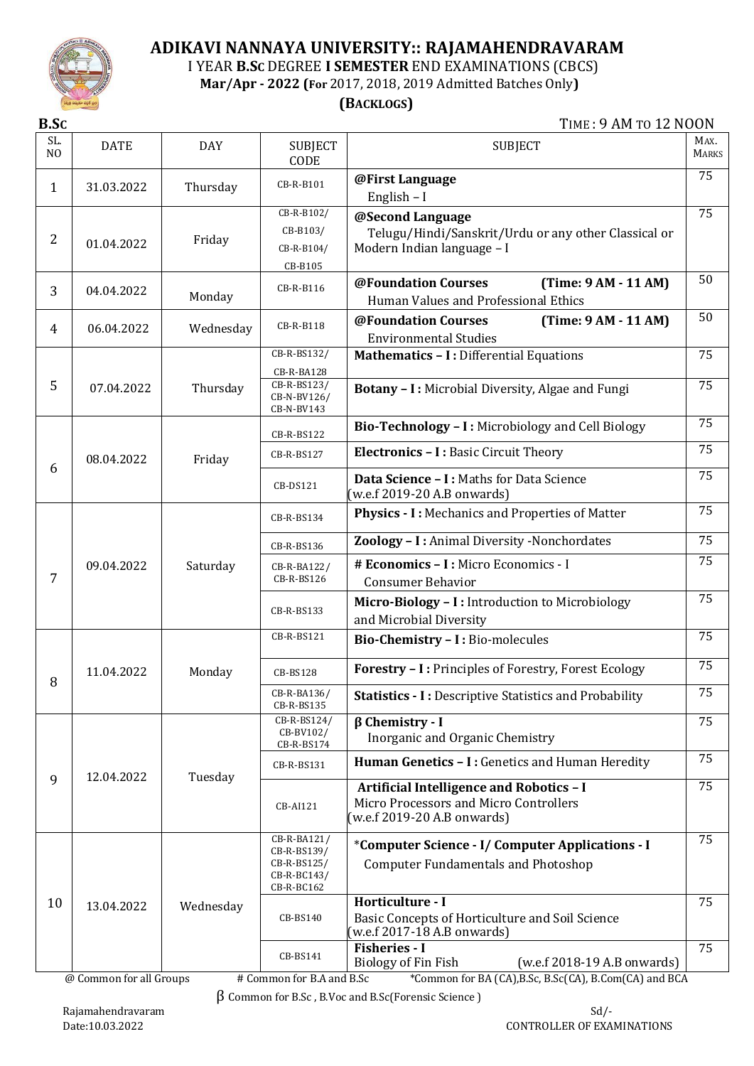

I YEAR **B.SC** DEGREE **I SEMESTER** END EXAMINATIONS (CBCS)

**Mar/Apr - 2022 (For** 2017, 2018, 2019 Admitted Batches Only**)**

#### **(BACKLOGS)**

**B.SC** TIME : 9 AM TO 12 NOON

| SL.<br>N <sub>O</sub> | <b>DATE</b>                           | <b>DAY</b> | <b>SUBJECT</b><br>CODE                                                 | <b>SUBJECT</b><br><b>MARKS</b>                                                                                                       |                 |
|-----------------------|---------------------------------------|------------|------------------------------------------------------------------------|--------------------------------------------------------------------------------------------------------------------------------------|-----------------|
| $\mathbf{1}$          | 31.03.2022                            | Thursday   | CB-R-B101                                                              | @First Language<br>English $-1$                                                                                                      | 75              |
| $\overline{2}$        | 01.04.2022                            | Friday     | $CB-R-B102/$<br>CB-B103/<br>CB-R-B104/<br>CB-B105                      | @Second Language<br>Telugu/Hindi/Sanskrit/Urdu or any other Classical or<br>Modern Indian language - I                               | 75              |
| 3                     | 04.04.2022                            | Monday     | CB-R-B116                                                              | @Foundation Courses<br>(Time: 9 AM - 11 AM)<br>Human Values and Professional Ethics                                                  | 50              |
| 4                     | 06.04.2022                            | Wednesday  | CB-R-B118                                                              | @Foundation Courses<br>(Time: 9 AM - 11 AM)<br><b>Environmental Studies</b>                                                          | 50              |
| 5                     | 07.04.2022                            | Thursday   | CB-R-BS132/<br>CB-R-BA128<br>CB-R-BS123/<br>CB-N-BV126/                | <b>Mathematics - I: Differential Equations</b><br>Botany - I: Microbial Diversity, Algae and Fungi                                   | 75<br>75        |
|                       |                                       |            | CB-N-BV143<br>CB-R-BS122                                               | Bio-Technology - I: Microbiology and Cell Biology                                                                                    | 75              |
|                       | 08.04.2022                            | Friday     | $CB-R-BS127$                                                           | Electronics - I : Basic Circuit Theory                                                                                               | 75              |
| 6                     |                                       |            | <b>CB-DS121</b>                                                        | Data Science - I : Maths for Data Science<br>(w.e.f 2019-20 A.B onwards)                                                             | 75              |
|                       | 09.04.2022                            | Saturday   | CB-R-BS134                                                             | <b>Physics - I: Mechanics and Properties of Matter</b>                                                                               | 75              |
|                       |                                       |            | CB-R-BS136                                                             | Zoology - I: Animal Diversity - Nonchordates                                                                                         | 75              |
| 7                     |                                       |            | CB-R-BA122/<br>CB-R-BS126                                              | # Economics - I : Micro Economics - I<br><b>Consumer Behavior</b>                                                                    | $\overline{75}$ |
|                       |                                       |            | $CB-R-BS133$                                                           | Micro-Biology - I: Introduction to Microbiology<br>and Microbial Diversity                                                           | 75              |
|                       |                                       |            | CB-R-BS121                                                             | Bio-Chemistry - I: Bio-molecules                                                                                                     | 75              |
| 8                     | 11.04.2022                            | Monday     | CB-BS128                                                               | Forestry - I: Principles of Forestry, Forest Ecology                                                                                 | 75              |
|                       |                                       |            | CB-R-BA136/<br>CB-R-BS135                                              | <b>Statistics - I: Descriptive Statistics and Probability</b>                                                                        | 75              |
|                       |                                       |            | CB-R-BS124/<br>CB-BV102/<br>CB-R-BS174                                 | $\beta$ Chemistry - I<br>Inorganic and Organic Chemistry                                                                             | 75              |
|                       |                                       |            | CB-R-BS131                                                             | Human Genetics - I: Genetics and Human Heredity                                                                                      | 75              |
| 9                     | 12.04.2022                            | Tuesday    | CB-AI121                                                               | Artificial Intelligence and Robotics - I<br>Micro Processors and Micro Controllers<br>w.e.f 2019-20 A.B onwards)                     | 75              |
|                       |                                       |            | CB-R-BA121/<br>CB-R-BS139/<br>CB-R-BS125/<br>CB-R-BC143/<br>CB-R-BC162 | *Computer Science - I/ Computer Applications - I<br><b>Computer Fundamentals and Photoshop</b>                                       | 75              |
| 10                    | 13.04.2022<br>@ Common for all Groups | Wednesday  | CB-BS140                                                               | Horticulture - I<br>Basic Concepts of Horticulture and Soil Science<br>w.e.f 2017-18 A.B onwards)                                    | 75              |
|                       |                                       |            | CB-BS141<br># Common for B.A and B.Sc                                  | Fisheries - I<br><b>Biology of Fin Fish</b><br>(w.e.f 2018-19 A.B onwards)<br>*Common for BA (CA), B.Sc, B.Sc(CA), B.Com(CA) and BCA | 75              |

β Common for B.Sc , B.Voc and B.Sc(Forensic Science )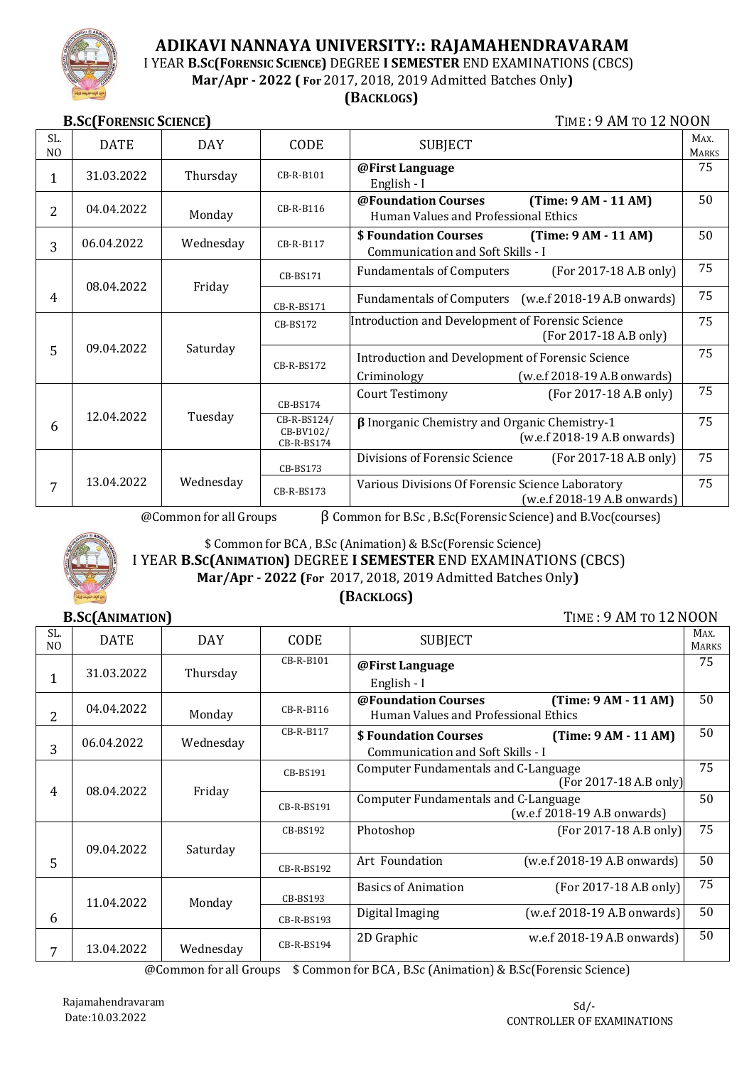

 **ADIKAVI NANNAYA UNIVERSITY:: RAJAMAHENDRAVARAM** I YEAR **B.SC(FORENSIC SCIENCE)** DEGREE **I SEMESTER** END EXAMINATIONS (CBCS)

**Mar/Apr - 2022 ( For** 2017, 2018, 2019 Admitted Batches Only**)**

#### **(BACKLOGS)**

**B.SC(FORENSIC SCIENCE)** TIME : 9 AM TO 12 NOON

|            | D''OLI L'AUTININ' DATENCE I<br>$11ML$ , $2$ $M$ $N$ , $10$ , $12$ , $N$ $N$ $N$ |            |              |                                                                                                |                                                                                    |    |
|------------|---------------------------------------------------------------------------------|------------|--------------|------------------------------------------------------------------------------------------------|------------------------------------------------------------------------------------|----|
| SL.<br>NO. | <b>DATE</b>                                                                     | <b>DAY</b> | <b>CODE</b>  | <b>SUBJECT</b>                                                                                 | MAX.<br><b>MARKS</b>                                                               |    |
| 1          | 31.03.2022                                                                      | Thursday   | CB-R-B101    | @First Language<br>English - I                                                                 | 75                                                                                 |    |
| 2          | 04.04.2022                                                                      | Monday     | $CR-R-B116$  | $(Time: 9 AM - 11 AM)$<br>@Foundation Courses<br>Human Values and Professional Ethics          | 50                                                                                 |    |
| 3          | 06.04.2022                                                                      | Wednesday  | CB-R-B117    | <b>\$ Foundation Courses</b><br>(Time: 9 AM - 11 AM)<br>Communication and Soft Skills - I      | 50                                                                                 |    |
|            | 08.04.2022                                                                      | Friday     | CB-BS171     | <b>Fundamentals of Computers</b><br>(For 2017-18 A.B only)                                     | 75                                                                                 |    |
| 4          |                                                                                 |            | CB-R-BS171   | <b>Fundamentals of Computers</b><br>$(w.e.f 2018-19 A.B$ onwards)                              | 75                                                                                 |    |
|            |                                                                                 | Saturday   | CB-BS172     | Introduction and Development of Forensic Science<br>(For 2017-18 A.B only)                     | 75                                                                                 |    |
| 5          | 09.04.2022                                                                      |            | CB-R-BS172   | Introduction and Development of Forensic Science<br>Criminology<br>(w.e.f 2018-19 A.B onwards) | 75                                                                                 |    |
|            |                                                                                 |            | $CB-BS174$   | (For 2017-18 A.B only)<br><b>Court Testimony</b>                                               | 75                                                                                 |    |
| 6          | 12.04.2022                                                                      |            | Tuesday      | CB-R-BS124/<br>CB-BV102/<br>CB-R-BS174                                                         | $\beta$ Inorganic Chemistry and Organic Chemistry-1<br>(w.e.f 2018-19 A.B onwards) | 75 |
|            |                                                                                 |            | $CB-BS173$   | (For 2017-18 A.B only)<br>Divisions of Forensic Science                                        | 75                                                                                 |    |
| 7          | 13.04.2022                                                                      | Wednesday  | $CB-R-BS173$ | Various Divisions Of Forensic Science Laboratory<br>(w.e.f 2018-19 A.B onwards)                | 75                                                                                 |    |

 $@Common$  for all Groups  $$\beta$$  Common for B.Sc, B.Sc(Forensic Science) and B.Voc(courses)



\$ Common for BCA , B.Sc (Animation) & B.Sc(Forensic Science) I YEAR **B.SC(ANIMATION)** DEGREE **I SEMESTER** END EXAMINATIONS (CBCS) **Mar/Apr - 2022 (For** 2017, 2018, 2019 Admitted Batches Only**)**

#### **(BACKLOGS)**

**B.SC(ANIMATION)** TIME : 9 AM TO 12 NOON

| SL.<br>N <sub>O</sub> | <b>DATE</b> | <b>DAY</b> | CODE                                                             | <b>SUBJECT</b>                                                                             | MAX.<br><b>MARKS</b> |
|-----------------------|-------------|------------|------------------------------------------------------------------|--------------------------------------------------------------------------------------------|----------------------|
|                       | 31.03.2022  | Thursday   | $CR-R-B101$                                                      | @First Language<br>English - I                                                             | 75                   |
| 2                     | 04.04.2022  | Monday     | $CR-R-B116$                                                      | (Time: 9 AM - 11 AM)<br><b>@Foundation Courses</b><br>Human Values and Professional Ethics | 50                   |
| 3                     | 06.04.2022  | Wednesday  | $CB-R-B117$                                                      | (Time: 9 AM - 11 AM)<br>\$ Foundation Courses<br>Communication and Soft Skills - I         | 50                   |
| 4<br>08.04.2022       |             | CB-BS191   | Computer Fundamentals and C-Language<br>$(For 2017-18 A.B only)$ | 75                                                                                         |                      |
|                       |             | Friday     | CB-R-BS191                                                       | Computer Fundamentals and C-Language<br>(w.e.f 2018-19 A.B onwards)                        | 50                   |
|                       | 09.04.2022  | Saturday   | CB-BS192                                                         | $(For 2017-18 A.B only)$<br>Photoshop                                                      | 75                   |
| 5                     |             |            | CB-R-BS192                                                       | Art Foundation<br>(w.e.f 2018-19 A.B onwards)                                              | 50                   |
|                       | 11.04.2022  | Monday     | CB-BS193                                                         | (For 2017-18 A.B only)<br><b>Basics of Animation</b>                                       | 75                   |
| 6                     |             |            | CB-R-BS193                                                       | $(w.e.f 2018-19 A.B$ onwards)<br>Digital Imaging                                           | 50                   |
| 7                     | 13.04.2022  | Wednesday  | CB-R-BS194                                                       | 2D Graphic<br>w.e.f $2018-19$ A.B onwards)                                                 | 50                   |

@Common for all Groups \$ Common for BCA , B.Sc (Animation) & B.Sc(Forensic Science)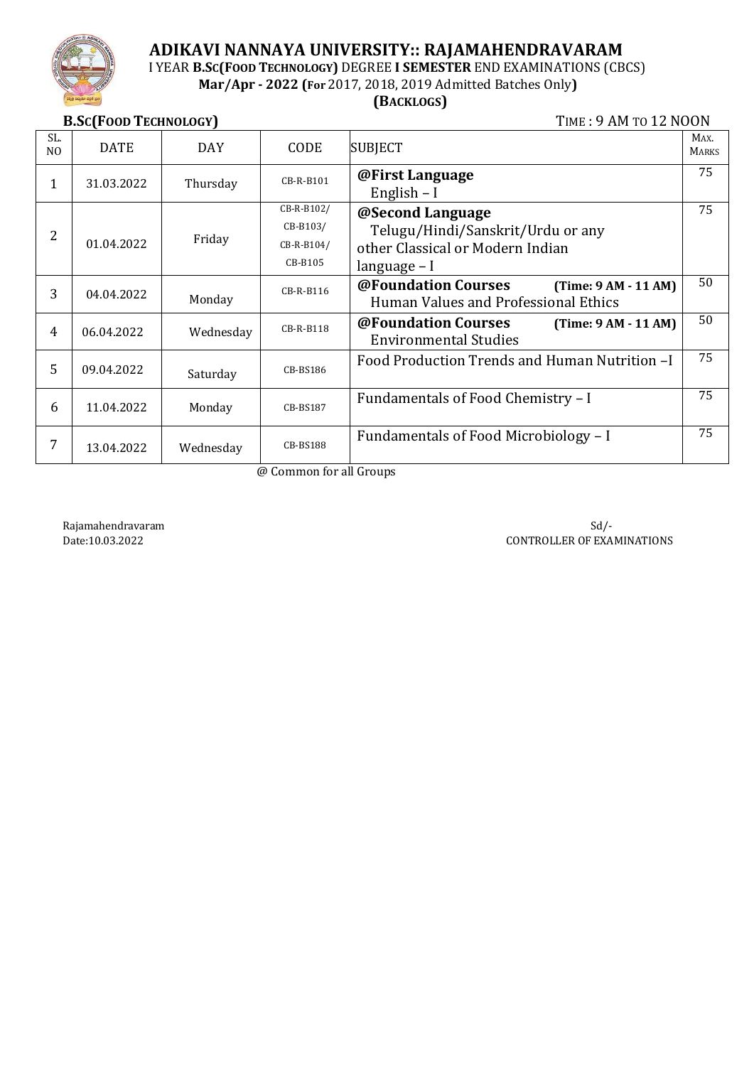

I YEAR **B.SC(FOOD TECHNOLOGY)** DEGREE **I SEMESTER** END EXAMINATIONS (CBCS)

**Mar/Apr - 2022 (For** 2017, 2018, 2019 Admitted Batches Only**)**

## **(BACKLOGS)**

**B.SC(FOOD TECHNOLOGY)** TIME : 9 AM TO 12 NOON

|                       | 1001200011000011 |            |             |                                                                                     |    |
|-----------------------|------------------|------------|-------------|-------------------------------------------------------------------------------------|----|
| SL.<br>N <sub>O</sub> | <b>DATE</b>      | <b>DAY</b> | <b>CODE</b> | <b>SUBJECT</b>                                                                      |    |
| $\mathbf{1}$          | 31.03.2022       | Thursday   | CB-R-B101   | @First Language<br>English $-I$                                                     |    |
|                       |                  |            | CB-R-B102/  | @Second Language                                                                    | 75 |
| 2                     |                  |            | $CB-B103/$  | Telugu/Hindi/Sanskrit/Urdu or any                                                   |    |
|                       | 01.04.2022       | Friday     | CB-R-B104/  | other Classical or Modern Indian                                                    |    |
|                       |                  |            | CB-B105     | language – I                                                                        |    |
| 3                     | 04.04.2022       | Monday     | CB-R-B116   | @Foundation Courses<br>(Time: 9 AM - 11 AM)<br>Human Values and Professional Ethics | 50 |
| 4                     | 06.04.2022       | Wednesday  | CB-R-B118   | <b>@Foundation Courses</b><br>(Time: 9 AM - 11 AM)<br><b>Environmental Studies</b>  | 50 |
| 5                     | 09.04.2022       | Saturday   | CB-BS186    | Food Production Trends and Human Nutrition -I                                       | 75 |
| 6                     | 11.04.2022       | Monday     | CB-BS187    | Fundamentals of Food Chemistry - I                                                  | 75 |
| 7                     | 13.04.2022       | Wednesday  | CB-BS188    | Fundamentals of Food Microbiology - I                                               | 75 |

@ Common for all Groups

Rajamahendravaram Sd/-Date:10.03.2022 CONTROLLER OF EXAMINATIONS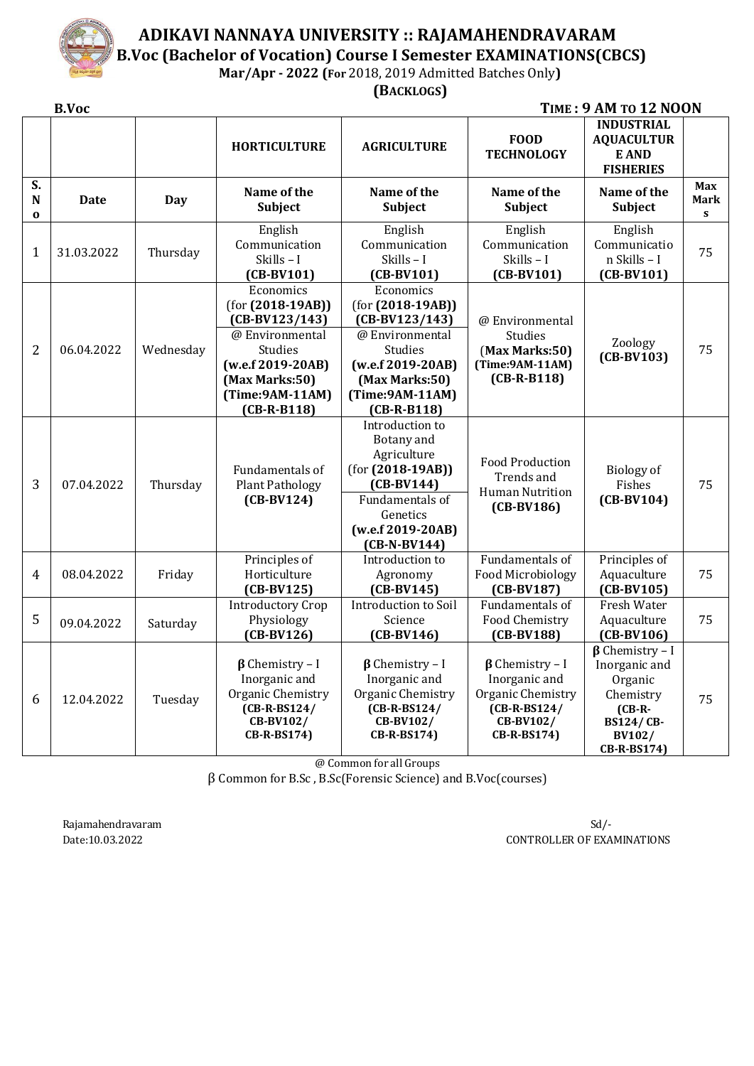

**ADIKAVI NANNAYA UNIVERSITY :: RAJAMAHENDRAVARAM B.Voc (Bachelor of Vocation) Course I Semester EXAMINATIONS(CBCS)**

**Mar/Apr - 2022 (For** 2018, 2019 Admitted Batches Only**)**

**(BACKLOGS)**

|                               | <b>B.Voc</b> |           |                                                                                                                                                                |                                                                                                                                                                |                                                                                                           | TIME: 9 AM TO 12 NOON                                                                                                                 |                         |
|-------------------------------|--------------|-----------|----------------------------------------------------------------------------------------------------------------------------------------------------------------|----------------------------------------------------------------------------------------------------------------------------------------------------------------|-----------------------------------------------------------------------------------------------------------|---------------------------------------------------------------------------------------------------------------------------------------|-------------------------|
|                               |              |           | <b>HORTICULTURE</b>                                                                                                                                            | <b>AGRICULTURE</b>                                                                                                                                             | <b>FOOD</b><br><b>TECHNOLOGY</b>                                                                          | <b>INDUSTRIAL</b><br><b>AQUACULTUR</b><br>E AND<br><b>FISHERIES</b>                                                                   |                         |
| S.<br>$\mathbf N$<br>$\bf{o}$ | Date         | Day       | Name of the<br><b>Subject</b>                                                                                                                                  | Name of the<br><b>Subject</b>                                                                                                                                  | Name of the<br><b>Subject</b>                                                                             | Name of the<br><b>Subject</b>                                                                                                         | <b>Max</b><br>Mark<br>S |
| 1                             | 31.03.2022   | Thursday  | English<br>Communication<br>Skills - I<br>$(CB-BV101)$                                                                                                         | English<br>Communication<br>Skills - I<br>$(CB-BV101)$                                                                                                         | English<br>Communication<br>Skills - I<br>$(CB-BV101)$                                                    | English<br>Communicatio<br>n Skills - I<br>$(CB-BV101)$                                                                               | 75                      |
| 2                             | 06.04.2022   | Wednesday | Economics<br>$(for (2018-19AB))$<br>$(CB-BV123/143)$<br>@ Environmental<br>Studies<br>(w.e.f 2019-20AB)<br>(Max Marks:50)<br>(Time: 9AM-11AM)<br>$(CB-R-B118)$ | Economics<br>$(for (2018-19AB))$<br>$(CB-BV123/143)$<br>@ Environmental<br>Studies<br>(w.e.f 2019-20AB)<br>(Max Marks:50)<br>(Time: 9AM-11AM)<br>$(CB-R-B118)$ | @ Environmental<br>Studies<br>(Max Marks:50)<br>$(Time:9AM-11AM)$<br>$(CB-R-B118)$                        | Zoology<br>$(CB-BV103)$                                                                                                               | 75                      |
| 3                             | 07.04.2022   | Thursday  | Fundamentals of<br><b>Plant Pathology</b><br>$(CB-BV124)$                                                                                                      | Introduction to<br>Botany and<br>Agriculture<br>$(for (2018-19AB))$<br>$(CB-BV144)$<br>Fundamentals of<br>Genetics<br>(w.e.f 2019-20AB)<br>$(CB-N-BV144)$      | <b>Food Production</b><br>Trends and<br><b>Human Nutrition</b><br>$(CB-BV186)$                            | <b>Biology of</b><br>Fishes<br>$(CB-BV104)$                                                                                           | 75                      |
| $\overline{4}$                | 08.04.2022   | Friday    | Principles of<br>Horticulture<br>$(CB-BV125)$                                                                                                                  | Introduction to<br>Agronomy<br>$(CB-BV145)$                                                                                                                    | Fundamentals of<br>Food Microbiology<br>$(CB-BV187)$                                                      | Principles of<br>Aquaculture<br>$(CB-BV105)$                                                                                          | 75                      |
| 5                             | 09.04.2022   | Saturday  | <b>Introductory Crop</b><br>Physiology<br>$(CB-BV126)$                                                                                                         | <b>Introduction to Soil</b><br>Science<br>$(CB-BV146)$                                                                                                         | Fundamentals of<br>Food Chemistry<br>(CB-BV188)                                                           | Fresh Water<br>Aquaculture<br>$(CB-BV106)$                                                                                            | 75                      |
| 6                             | 12.04.2022   | Tuesday   | $\beta$ Chemistry - I<br>Inorganic and<br>Organic Chemistry<br>$(CB-R-BS124/$<br>CB-BV102/<br>CB-R-BS174)                                                      | $\beta$ Chemistry - I<br>Inorganic and<br>Organic Chemistry<br>$(CB-R-BS124/$<br>CB-BV102/<br>CB-R-BS174)                                                      | $\beta$ Chemistry - I<br>Inorganic and<br>Organic Chemistry<br>$(CB-R-BS124/$<br>CB-BV102/<br>CB-R-BS174) | $\beta$ Chemistry - I<br>Inorganic and<br>Organic<br>Chemistry<br>$(CB-R-$<br><b>BS124/CB-</b><br><b>BV102/</b><br><b>CB-R-BS174)</b> | 75                      |

@ Common for all Groups

β Common for B.Sc , B.Sc(Forensic Science) and B.Voc(courses)

Rajamahendravaram Sd/-Date:10.03.2022 CONTROLLER OF EXAMINATIONS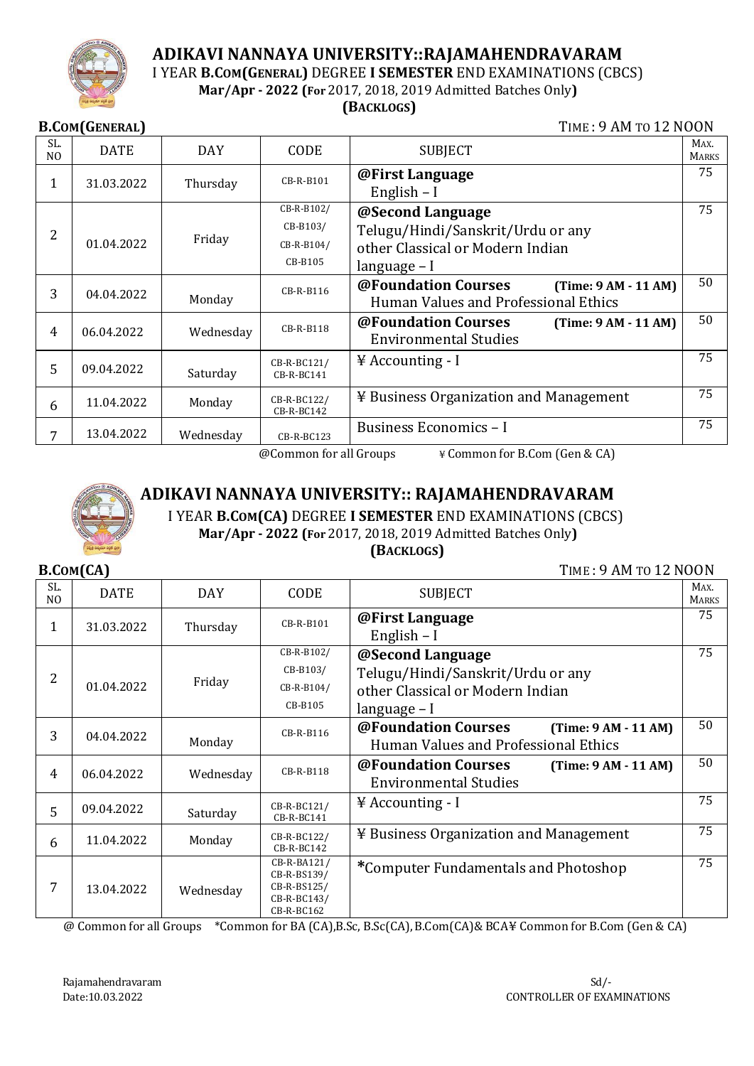

I YEAR **B.COM(GENERAL)** DEGREE **I SEMESTER** END EXAMINATIONS (CBCS)

**Mar/Apr - 2022 (For** 2017, 2018, 2019 Admitted Batches Only**)**

**(BACKLOGS)**

**B.COM(GENERAL)** TIME : 9 AM TO 12 NOON

| SL.<br>NO. | <b>DATE</b> | <b>DAY</b> | CODE                      | <b>SUBJECT</b>                                                                               | MAX.<br><b>MARKS</b> |
|------------|-------------|------------|---------------------------|----------------------------------------------------------------------------------------------|----------------------|
| 1          | 31.03.2022  | Thursday   | CB-R-B101                 | @First Language<br>English - I                                                               |                      |
|            |             |            | CB-R-B102/                | @Second Language                                                                             | 75                   |
| 2          |             | Friday     | CB-B103/                  | Telugu/Hindi/Sanskrit/Urdu or any                                                            |                      |
|            | 01.04.2022  |            | $CB-R-B104/$              | other Classical or Modern Indian                                                             |                      |
|            |             |            | CB-B105                   | language – I                                                                                 |                      |
| 3          | 04.04.2022  | Monday     | $CB-R-B116$               | <b>@Foundation Courses</b><br>$(Time: 9 AM - 11 AM)$<br>Human Values and Professional Ethics | 50                   |
| 4          | 06.04.2022  | Wednesday  | $CB-R-B118$               | <b>@Foundation Courses</b><br>(Time: 9 AM - 11 AM)<br><b>Environmental Studies</b>           | 50                   |
| 5          | 09.04.2022  | Saturday   | CB-R-BC121/<br>CB-R-BC141 | ¥ Accounting - I                                                                             | 75                   |
| 6          | 11.04.2022  | Monday     | CB-R-BC122/<br>CB-R-BC142 | ¥ Business Organization and Management                                                       | 75                   |
| 7          | 13.04.2022  | Wednesday  | CB-R-BC123                | Business Economics - I                                                                       | 75                   |

 $@Common for all Groups \t\yen @Common for B. Com (Gen & CA)$ 



## **ADIKAVI NANNAYA UNIVERSITY:: RAJAMAHENDRAVARAM**

I YEAR **B.COM(CA)** DEGREE **I SEMESTER** END EXAMINATIONS (CBCS) **Mar/Apr - 2022 (For** 2017, 2018, 2019 Admitted Batches Only**) (BACKLOGS)**

**B.COM(CA)** TIME : 9 AM TO 12 NOON

|                       | p. 0011   011 |            |                                                                        |                                                                                                           |                      |  |
|-----------------------|---------------|------------|------------------------------------------------------------------------|-----------------------------------------------------------------------------------------------------------|----------------------|--|
| SL.<br>N <sub>O</sub> | <b>DATE</b>   | <b>DAY</b> | CODE                                                                   | <b>SUBJECT</b>                                                                                            | MAX.<br><b>MARKS</b> |  |
| 1                     | 31.03.2022    | Thursday   | $CR-R-B101$                                                            | @First Language<br>English $-I$                                                                           |                      |  |
| 2                     | 01.04.2022    | Friday     | $CB-R-B102/$<br>CB-B103/<br>CB-R-B104/<br>CB-B105                      | @Second Language<br>Telugu/Hindi/Sanskrit/Urdu or any<br>other Classical or Modern Indian<br>language – I | 75                   |  |
| 3                     | 04.04.2022    | Monday     | CB-R-B116                                                              | @Foundation Courses<br>(Time: 9 AM - 11 AM)<br>Human Values and Professional Ethics                       | 50                   |  |
| 4                     | 06.04.2022    | Wednesday  | CB-R-B118                                                              | <b>@Foundation Courses</b><br>(Time: 9 AM - 11 AM)<br><b>Environmental Studies</b>                        | 50                   |  |
| 5                     | 09.04.2022    | Saturday   | CB-R-BC121/<br>CB-R-BC141                                              | ¥ Accounting - I                                                                                          | 75                   |  |
| 6                     | 11.04.2022    | Monday     | CB-R-BC122/<br>CB-R-BC142                                              | ¥ Business Organization and Management                                                                    | 75                   |  |
| 7                     | 13.04.2022    | Wednesday  | CB-R-BA121/<br>CB-R-BS139/<br>CB-R-BS125/<br>CB-R-BC143/<br>CB-R-BC162 | *Computer Fundamentals and Photoshop                                                                      | 75                   |  |

@ Common for all Groups \*Common for BA (CA),B.Sc, B.Sc(CA),B.Com(CA)& BCA¥ Common for B.Com (Gen & CA)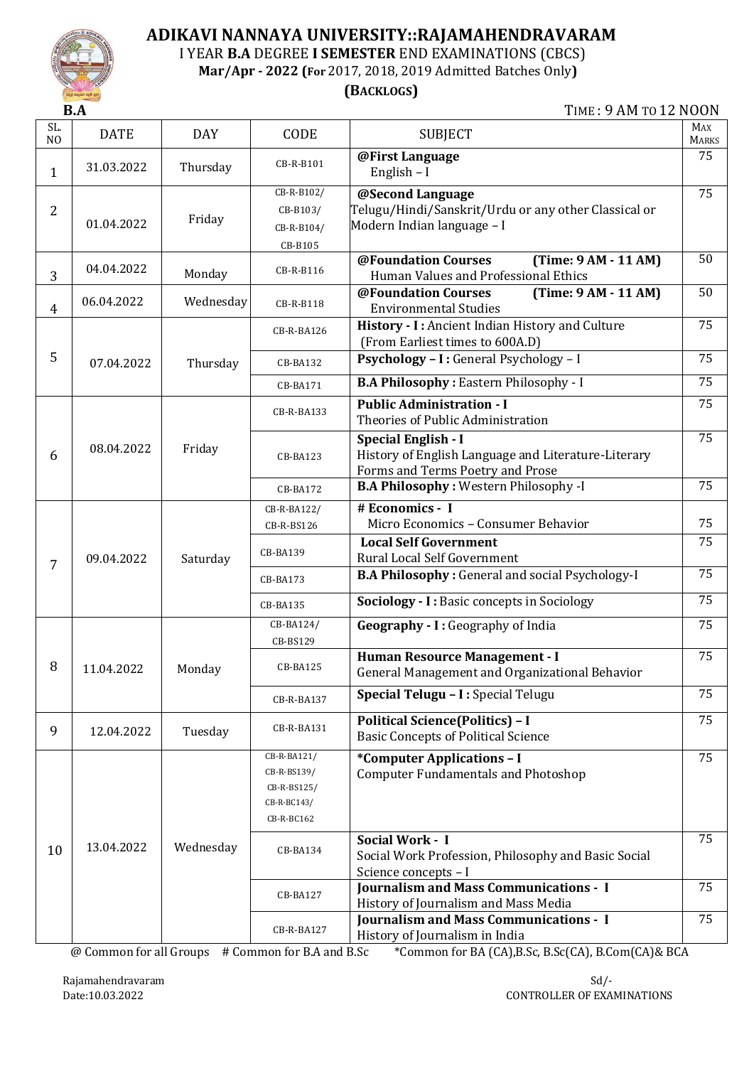

I YEAR **B.A** DEGREE **I SEMESTER** END EXAMINATIONS (CBCS)

**Mar/Apr - 2022 (For** 2017, 2018, 2019 Admitted Batches Only**)**

#### **(BACKLOGS)**

**B.A** TIME : 9 AM TO 12 NOON

| SL.<br>N <sub>O</sub> | <b>DATE</b> | <b>DAY</b> | CODE                                                                       | <b>SUBJECT</b>                                                                                                 | <b>MAX</b><br><b>MARKS</b> |
|-----------------------|-------------|------------|----------------------------------------------------------------------------|----------------------------------------------------------------------------------------------------------------|----------------------------|
| $\mathbf{1}$          | 31.03.2022  | Thursday   | CB-R-B101                                                                  | @First Language<br>English - I                                                                                 | 75                         |
| 2                     | 01.04.2022  | Friday     | $CB-R-B102/$<br>CB-B103/<br>CB-R-B104/<br>CB-B105                          | @Second Language<br>Telugu/Hindi/Sanskrit/Urdu or any other Classical or<br>Modern Indian language - I         | 75                         |
| 3                     | 04.04.2022  | Monday     | CB-R-B116                                                                  | @Foundation Courses<br>(Time: 9 AM - 11 AM)<br>Human Values and Professional Ethics                            | 50                         |
| $\overline{4}$        | 06.04.2022  | Wednesday  | CB-R-B118                                                                  | @Foundation Courses<br>(Time: 9 AM - 11 AM)<br><b>Environmental Studies</b>                                    | 50                         |
|                       |             |            | CB-R-BA126                                                                 | History - I: Ancient Indian History and Culture<br>(From Earliest times to 600A.D)                             | 75                         |
| 5                     | 07.04.2022  | Thursday   | CB-BA132                                                                   | Psychology - I : General Psychology - I                                                                        | 75                         |
|                       |             |            | CB-BA171                                                                   | <b>B.A Philosophy: Eastern Philosophy - I</b>                                                                  | 75                         |
|                       |             |            | CB-R-BA133                                                                 | <b>Public Administration - I</b><br>Theories of Public Administration                                          | $\overline{75}$            |
| 6                     | 08.04.2022  | Friday     | CB-BA123                                                                   | Special English - I<br>History of English Language and Literature-Literary<br>Forms and Terms Poetry and Prose | 75                         |
|                       |             |            | CB-BA172                                                                   | <b>B.A Philosophy: Western Philosophy -I</b>                                                                   | 75                         |
|                       | 09.04.2022  | Saturday   | CB-R-BA122/<br>$CB-R-BS126$                                                | # Economics - I<br>Micro Economics - Consumer Behavior                                                         | 75                         |
| 7                     |             |            | CB-BA139                                                                   | <b>Local Self Government</b><br>Rural Local Self Government                                                    | 75                         |
|                       |             |            | $CB-BA173$                                                                 | <b>B.A Philosophy: General and social Psychology-I</b>                                                         | 75                         |
|                       |             |            | CB-BA135                                                                   | Sociology - I: Basic concepts in Sociology                                                                     | 75                         |
|                       |             |            | $CB-BA124/$<br>CB-BS129                                                    | Geography - I: Geography of India                                                                              | 75                         |
| 8                     | 11.04.2022  | Monday     | CB-BA125                                                                   | Human Resource Management - I<br>General Management and Organizational Behavior                                | 75                         |
|                       |             |            | CB-R-BA137                                                                 | Special Telugu - I : Special Telugu                                                                            | 75                         |
| 9                     | 12.04.2022  | Tuesday    | CB-R-BA131                                                                 | <b>Political Science(Politics) - I</b><br><b>Basic Concepts of Political Science</b>                           | 75                         |
|                       |             |            | $CB-R-BA121/$<br>CB-R-BS139/<br>CB-R-BS125/<br>$CB-R-BC143/$<br>CB-R-BC162 | *Computer Applications - I<br><b>Computer Fundamentals and Photoshop</b>                                       | 75                         |
| 10                    | 13.04.2022  | Wednesday  | CB-BA134                                                                   | Social Work - I<br>Social Work Profession, Philosophy and Basic Social<br>Science concepts - I                 | 75                         |
|                       |             |            | CB-BA127                                                                   | <b>Journalism and Mass Communications - I</b><br>History of Journalism and Mass Media                          | 75                         |
|                       |             |            | CB-R-BA127                                                                 | Journalism and Mass Communications - I<br>History of Journalism in India                                       | 75                         |

@ Common for all Groups # Common for B.A and B.Sc \*Common for BA (CA),B.Sc, B.Sc(CA), B.Com(CA)& BCA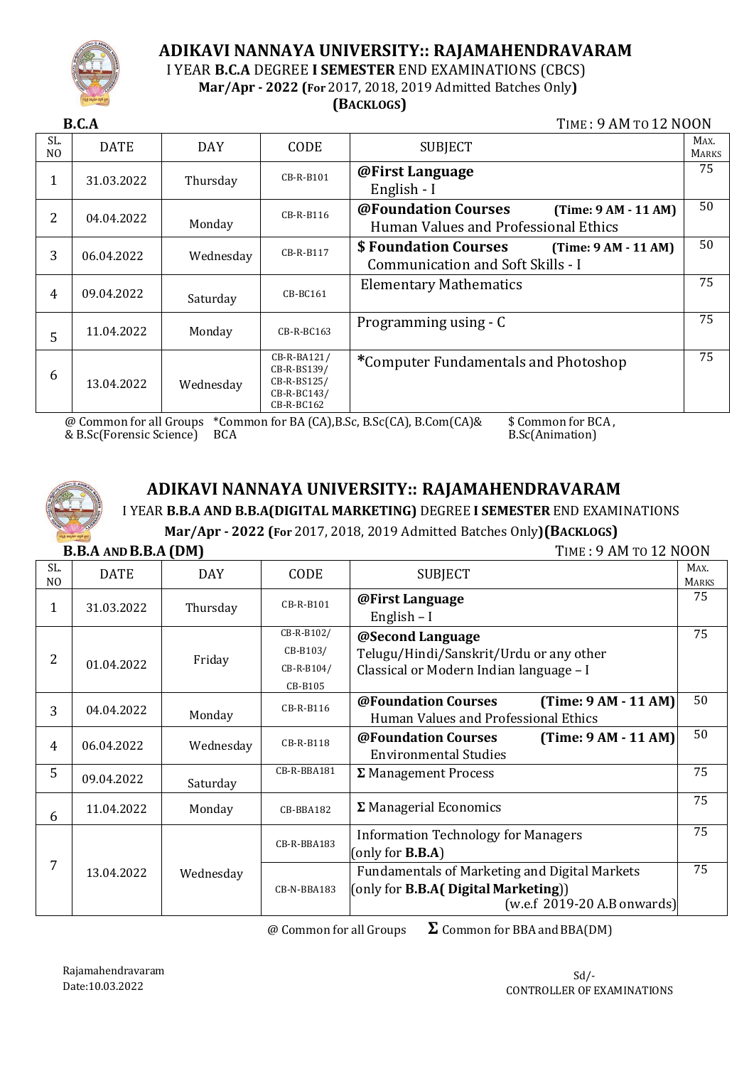

I YEAR **B.C.A** DEGREE **I SEMESTER** END EXAMINATIONS (CBCS)

**Mar/Apr - 2022 (For** 2017, 2018, 2019 Admitted Batches Only**)**

**(BACKLOGS)**

**B.C.A TIME: 9 AM TO 12 NOON** 

\$ Common for BCA , B.Sc(Animation)

| SL.<br>N <sub>O</sub> | <b>DATE</b> | <b>DAY</b> | CODE                                                                   | <b>SUBJECT</b>                                                                       |    |
|-----------------------|-------------|------------|------------------------------------------------------------------------|--------------------------------------------------------------------------------------|----|
| 1                     | 31.03.2022  | Thursday   | CB-R-B101                                                              | @First Language<br>English - I                                                       |    |
| $\overline{2}$        | 04.04.2022  | Monday     | CB-R-B116                                                              | @Foundation Courses<br>(Time: 9 AM - 11 AM)<br>Human Values and Professional Ethics  |    |
| 3                     | 06.04.2022  | Wednesday  | $CB-R-B117$                                                            | \$ Foundation Courses<br>$(Time: 9 AM - 11 AM)$<br>Communication and Soft Skills - I |    |
| $\overline{4}$        | 09.04.2022  | Saturday   | $CB-BC161$                                                             | <b>Elementary Mathematics</b>                                                        | 75 |
| 5                     | 11.04.2022  | Monday     | CB-R-BC163                                                             | Programming using - C                                                                |    |
| 6                     | 13.04.2022  | Wednesday  | CB-R-BA121/<br>CB-R-BS139/<br>CB-R-BS125/<br>CB-R-BC143/<br>CB-R-BC162 | *Computer Fundamentals and Photoshop                                                 |    |

@ Common for all Groups \*Common for BA (CA),B.Sc, B.Sc(CA), B.Com(CA)& & B.Sc(Forensic Science) BCA



# **ADIKAVI NANNAYA UNIVERSITY:: RAJAMAHENDRAVARAM**

I YEAR **B.B.A AND B.B.A(DIGITAL MARKETING)** DEGREE **I SEMESTER** END EXAMINATIONS

**Mar/Apr - 2022 (For** 2017, 2018, 2019 Admitted Batches Only**)(BACKLOGS)**

| R A AND R R A (DM) |  |  |
|--------------------|--|--|

| B.B.A AND B.B.A (DM)  |             |            |                         | TIME: 9 AM TO 12 NOON                                                                                                                |                      |
|-----------------------|-------------|------------|-------------------------|--------------------------------------------------------------------------------------------------------------------------------------|----------------------|
| SL.<br>N <sub>O</sub> | <b>DATE</b> | <b>DAY</b> | CODE                    | <b>SUBJECT</b>                                                                                                                       | MAX.<br><b>MARKS</b> |
| 1                     | 31.03.2022  | Thursday   | CB-R-B101               | @First Language<br>English $-I$                                                                                                      | 75                   |
|                       |             |            | CB-R-B102/<br>CB-B103/  | @Second Language<br>Telugu/Hindi/Sanskrit/Urdu or any other                                                                          | 75                   |
| 2                     | 01.04.2022  | Friday     | $CB-R-B104/$<br>CB-B105 | Classical or Modern Indian language - I                                                                                              |                      |
| 3                     | 04.04.2022  | Monday     | $CB-R-B116$             | $(Time: 9 AM - 11 AM)$<br>@Foundation Courses<br>Human Values and Professional Ethics                                                | 50                   |
| 4                     | 06.04.2022  | Wednesday  | $CR-R-B118$             | $(Time: 9 AM - 11 AM)$<br><b>@Foundation Courses</b><br><b>Environmental Studies</b>                                                 | 50                   |
| 5                     | 09.04.2022  | Saturday   | CB-R-BBA181             | $\Sigma$ Management Process                                                                                                          | 75                   |
| 6                     | 11.04.2022  | Monday     | CB-BBA182               | $\Sigma$ Managerial Economics                                                                                                        | 75                   |
|                       |             |            | CB-R-BBA183             | <b>Information Technology for Managers</b><br>(only for $B.B.A$ )                                                                    | 75                   |
| 7                     | 13.04.2022  | Wednesday  | CB-N-BBA183             | <b>Fundamentals of Marketing and Digital Markets</b><br>(only for <b>B.B.A</b> (Digital Marketing))<br>$(w.e.f 2019-20 A.B$ onwards) | 75                   |

 $\omega$  Common for all Groups  $\Sigma$  Common for BBA and BBA(DM)